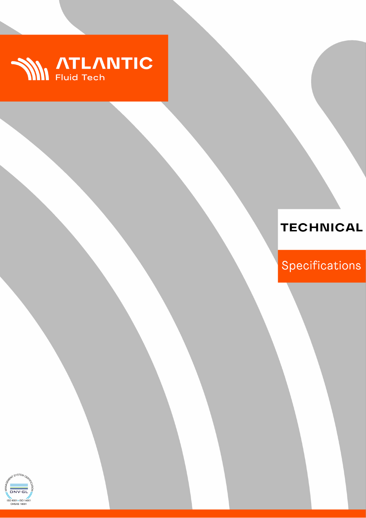

# **TECHNICAL**

Specifications

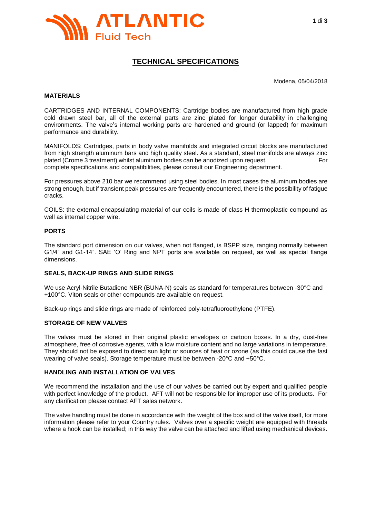

# **TECHNICAL SPECIFICATIONS**

Modena, 05/04/2018

#### **MATERIALS**

CARTRIDGES AND INTERNAL COMPONENTS: Cartridge bodies are manufactured from high grade cold drawn steel bar, all of the external parts are zinc plated for longer durability in challenging environments. The valve's internal working parts are hardened and ground (or lapped) for maximum performance and durability.

MANIFOLDS: Cartridges, parts in body valve manifolds and integrated circuit blocks are manufactured from high strength aluminum bars and high quality steel. As a standard, steel manifolds are always zinc plated (Crome 3 treatment) whilst aluminum bodies can be anodized upon request. For complete specifications and compatibilities, please consult our Engineering department.

For pressures above 210 bar we recommend using steel bodies. In most cases the aluminum bodies are strong enough, but if transient peak pressures are frequently encountered, there is the possibility of fatigue cracks.

COILS: the external encapsulating material of our coils is made of class H thermoplastic compound as well as internal copper wire.

#### **PORTS**

The standard port dimension on our valves, when not flanged, is BSPP size, ranging normally between G1/4" and G1-14". SAE 'O' Ring and NPT ports are available on request, as well as special flange dimensions.

#### **SEALS, BACK-UP RINGS AND SLIDE RINGS**

We use Acryl-Nitrile Butadiene NBR (BUNA-N) seals as standard for temperatures between -30°C and +100°C. Viton seals or other compounds are available on request.

Back-up rings and slide rings are made of reinforced poly-tetrafluoroethylene (PTFE).

#### **STORAGE OF NEW VALVES**

The valves must be stored in their original plastic envelopes or cartoon boxes. In a dry, dust-free atmosphere, free of corrosive agents, with a low moisture content and no large variations in temperature. They should not be exposed to direct sun light or sources of heat or ozone (as this could cause the fast wearing of valve seals). Storage temperature must be between -20°C and +50°C.

# **HANDLING AND INSTALLATION OF VALVES**

We recommend the installation and the use of our valves be carried out by expert and qualified people with perfect knowledge of the product. AFT will not be responsible for improper use of its products. For any clarification please contact AFT sales network.

The valve handling must be done in accordance with the weight of the box and of the valve itself, for more information please refer to your Country rules. Valves over a specific weight are equipped with threads where a hook can be installed; in this way the valve can be attached and lifted using mechanical devices.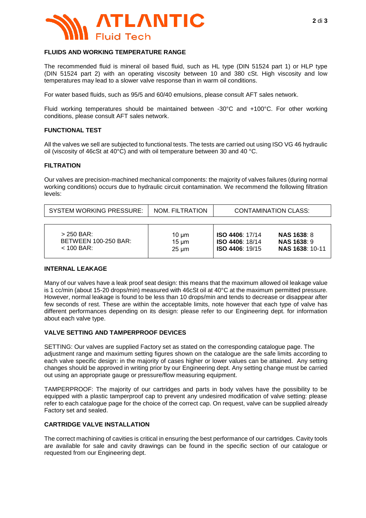

## **FLUIDS AND WORKING TEMPERATURE RANGE**

The recommended fluid is mineral oil based fluid, such as HL type (DIN 51524 part 1) or HLP type (DIN 51524 part 2) with an operating viscosity between 10 and 380 cSt. High viscosity and low temperatures may lead to a slower valve response than in warm oil conditions.

For water based fluids, such as 95/5 and 60/40 emulsions, please consult AFT sales network.

Fluid working temperatures should be maintained between -30°C and +100°C. For other working conditions, please consult AFT sales network.

#### **FUNCTIONAL TEST**

All the valves we sell are subjected to functional tests. The tests are carried out using ISO VG 46 hydraulic oil (viscosity of 46cSt at 40°C) and with oil temperature between 30 and 40 °C.

#### **FILTRATION**

Our valves are precision-machined mechanical components: the majority of valves failures (during normal working conditions) occurs due to hydraulic circuit contamination. We recommend the following filtration levels:

| <b>SYSTEM WORKING PRESSURE:</b> | NOM. FILTRATION | <b>CONTAMINATION CLASS:</b> |                        |
|---------------------------------|-----------------|-----------------------------|------------------------|
| $>$ 250 BAR:                    | $10 \mu m$      | <b>ISO 4406: 17/14</b>      | <b>NAS 1638: 8</b>     |
| <b>BETWEEN 100-250 BAR:</b>     | $15 \mu m$      | <b>ISO 4406: 18/14</b>      | <b>NAS 1638: 9</b>     |
| $<$ 100 BAR:                    | $25 \mu m$      | <b>ISO 4406: 19/15</b>      | <b>NAS 1638: 10-11</b> |

### **INTERNAL LEAKAGE**

Many of our valves have a leak proof seat design: this means that the maximum allowed oil leakage value is 1 cc/min (about 15-20 drops/min) measured with 46cSt oil at 40°C at the maximum permitted pressure. However, normal leakage is found to be less than 10 drops/min and tends to decrease or disappear after few seconds of rest. These are within the acceptable limits, note however that each type of valve has different performances depending on its design: please refer to our Engineering dept. for information about each valve type.

#### **VALVE SETTING AND TAMPERPROOF DEVICES**

SETTING: Our valves are supplied Factory set as stated on the corresponding catalogue page. The adjustment range and maximum setting figures shown on the catalogue are the safe limits according to each valve specific design: in the majority of cases higher or lower values can be attained. Any setting changes should be approved in writing prior by our Engineering dept. Any setting change must be carried out using an appropriate gauge or pressure/flow measuring equipment.

TAMPERPROOF: The majority of our cartridges and parts in body valves have the possibility to be equipped with a plastic tamperproof cap to prevent any undesired modification of valve setting: please refer to each catalogue page for the choice of the correct cap. On request, valve can be supplied already Factory set and sealed.

#### **CARTRIDGE VALVE INSTALLATION**

The correct machining of cavities is critical in ensuring the best performance of our cartridges. Cavity tools are available for sale and cavity drawings can be found in the specific section of our catalogue or requested from our Engineering dept.